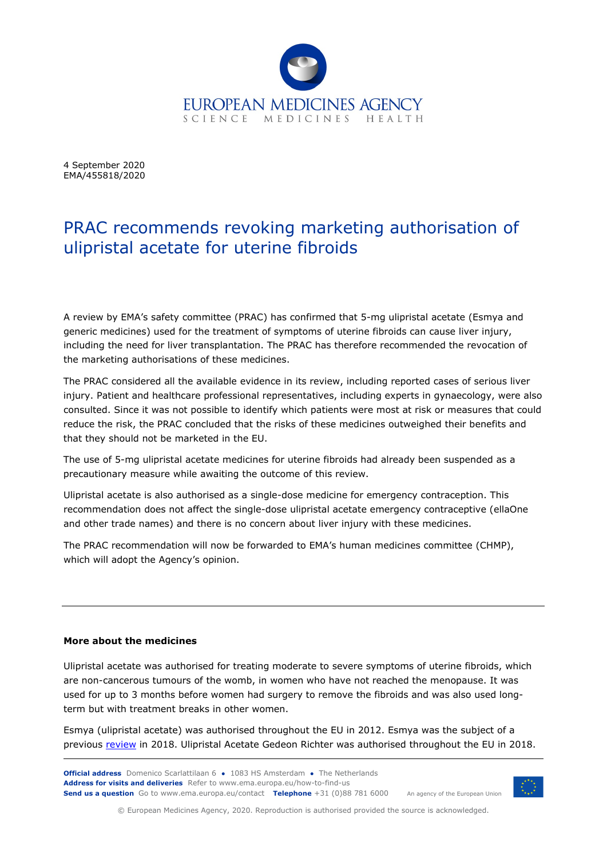

4 September 2020 EMA/455818/2020

## PRAC recommends revoking marketing authorisation of ulipristal acetate for uterine fibroids

A review by EMA's safety committee (PRAC) has confirmed that 5-mg ulipristal acetate (Esmya and generic medicines) used for the treatment of symptoms of uterine fibroids can cause liver injury, including the need for liver transplantation. The PRAC has therefore recommended the revocation of the marketing authorisations of these medicines.

The PRAC considered all the available evidence in its review, including reported cases of serious liver injury. Patient and healthcare professional representatives, including experts in gynaecology, were also consulted. Since it was not possible to identify which patients were most at risk or measures that could reduce the risk, the PRAC concluded that the risks of these medicines outweighed their benefits and that they should not be marketed in the EU.

The use of 5-mg ulipristal acetate medicines for uterine fibroids had already been suspended as a precautionary measure while awaiting the outcome of this review.

Ulipristal acetate is also authorised as a single-dose medicine for emergency contraception. This recommendation does not affect the single-dose ulipristal acetate emergency contraceptive (ellaOne and other trade names) and there is no concern about liver injury with these medicines.

The PRAC recommendation will now be forwarded to EMA's human medicines committee (CHMP), which will adopt the Agency's opinion.

## **More about the medicines**

Ulipristal acetate was authorised for treating moderate to severe symptoms of uterine fibroids, which are non-cancerous tumours of the womb, in women who have not reached the menopause. It was used for up to 3 months before women had surgery to remove the fibroids and was also used longterm but with treatment breaks in other women.

Esmya (ulipristal acetate) was authorised throughout the EU in 2012. Esmya was the subject of a previous [review](https://www.ema.europa.eu/en/medicines/human/referrals/esmya) in 2018. Ulipristal Acetate Gedeon Richter was authorised throughout the EU in 2018.



© European Medicines Agency, 2020. Reproduction is authorised provided the source is acknowledged.